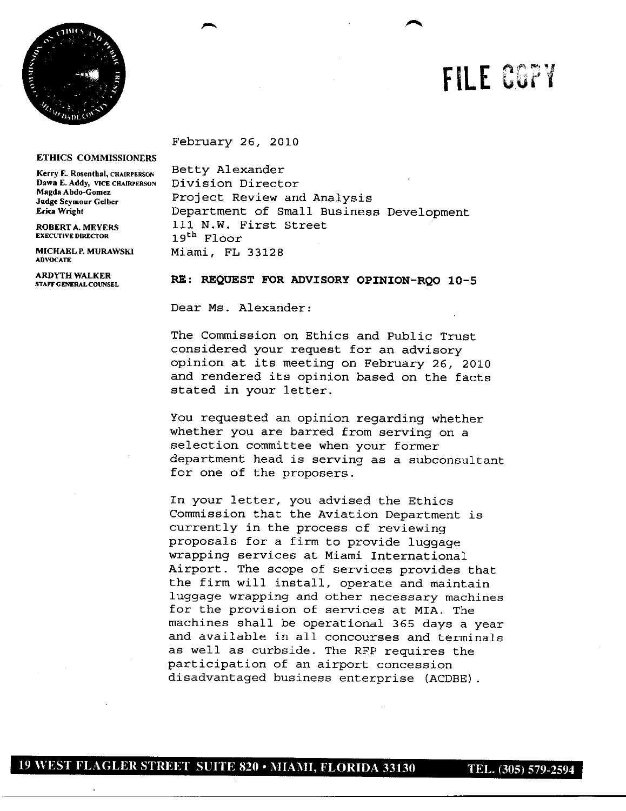

## **FILE CGPY**

a-

February 26, 2010

## **ETHICS COMMISSIONERS**

**EXECUTIVE DIRECTOR 1**

**ADVOCATE**

**Kerry E. Rosenthal, CHAIRPERSON** Betty Alexander<br> **Dawn E. Addy, VICE CHAIRPERSON** Division Directo **Dawn E. Addy, VICE CHAIRPERSON Division Director**<br>Magda Abdo-Gomez<br>**Director Director Develops** Project Review and Analysis **Erica Wright** Department of Small Business Development **ROBERTA.MEYERS** ill N.W. First Street **9th** Floor **MICHAELP.MURAWSKI** Miami, FL 33128

## STAFFCENERALCOUNSEL RE: REQUEST FOR **ADVISORY OPINION-RQO 105**

Dear Ms. Alexander:

The Commission on Ethics and Public Trust considered your request for an advisory opinion at its meeting on February 26, 2010 and rendered its opinion based on the facts stated in your letter.

You requested an opinion regarding whether whether you are barred from serving on a selection committee when your former department head is serving as a subconsultant for one of the proposers.

In your letter, you advised the Ethics Commission that the Aviation Department is currently in the process of reviewing proposals for a firm to provide luggage wrapping services at Miami International Airport. The scope of services provides that the firm will install, operate and maintain luggage wrapping and other necessary machines for the provision of services at MIA. The machines shall be operational 365 days a year and available in all concourses and terminals as well as curbside. The RFP requires the participation of an airport concession disadvantaged business enterprise (ACDBE).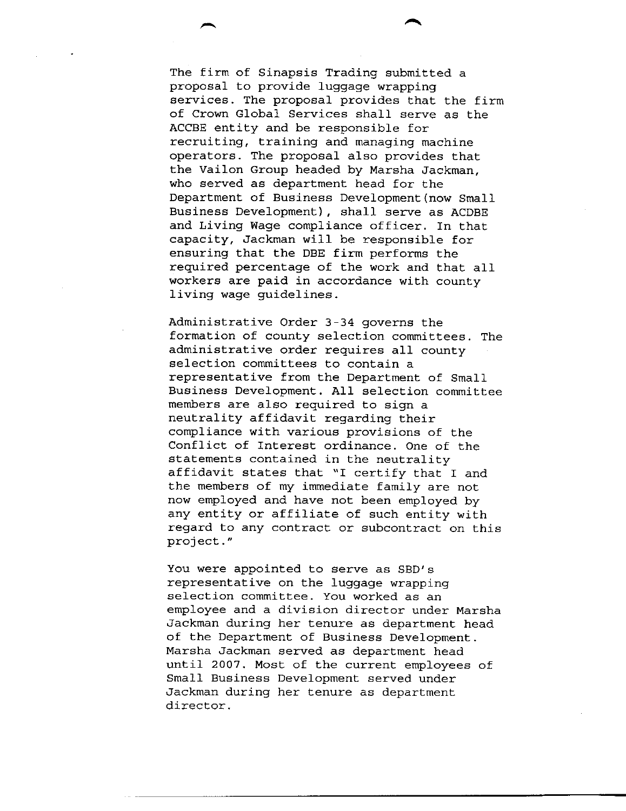The firm of Sinapsis Trading submitted a proposal to provide luggage wrapping services. The proposal provides that the firm of Crown Global Services shall serve as the ACCBE entity and be responsible for recruiting, training and managing machine operators. The proposal also provides that the Vailon Group headed by Marsha Jackman, who served as department head for the Department of Business Development (now Small Business Development), shall serve as ACDBE and Living Wage compliance officer. In that capacity, Jackman will be responsible for ensuring that the DBE firm performs the required percentage of the work and that all workers are paid in accordance with county living wage guidelines.

**a**

Administrative Order 3-34 governs the formation of county selection committees. The administrative order requires all county selection committees to contain a representative from the Department of Small Business Development. All selection committee members are also required to sign a neutrality affidavit regarding their compliance with various provisions of the Conflict of Interest ordinance. One of the statements contained in the neutrality affidavit states that "I certify that I and the members of my immediate family are not now employed and have not been employed by any entity or affiliate of such entity with regard to any contract or subcontract on this project."

You were appointed to serve as SBD's representative on the luggage wrapping selection committee. You worked as an employee and a division director under Marsha Jackman during her tenure as department head of the Department of Business Development. Marsha Jackman served as department head until 2007. Most of the current employees of Small Business Development served under Jackman during her tenure as department director.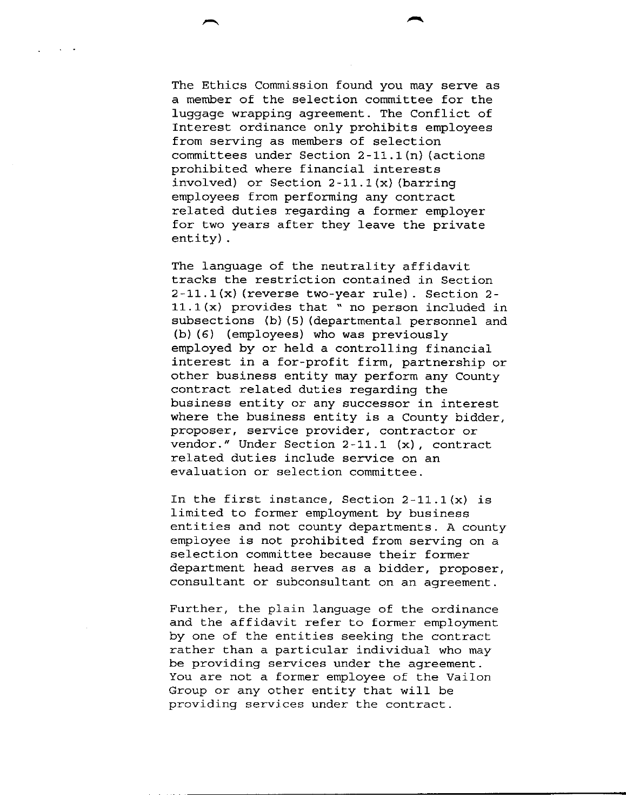The Ethics Commission found you may serve as a member of the selection committee for the luggage wrapping agreement. The Conflict of Interest ordinance only prohibits employees from serving as members of selection committees under Section  $2-11.1$  (n) (actions prohibited where financial interests involved) or Section  $2-11.1(x)$  (barring employees from performing any contract related duties regarding a former employer for two years after they leave the private entity.

**p**

The language of the neutrality affidavit tracks the restriction contained in Section  $2-11.1(x)$  (reverse two-year rule). Section 2- $11.1(x)$  provides that " no person included in subsections (b) (5) (departmental personnel and  $(b)$  (6) (employees) who was previously employed by or held a controlling financial interest in a for-profit firm, partnership or other business entity may perform any County contract related duties regarding the business entity or any successor in interest where the business entity is a County bidder, proposer, service provider, contractor or vendor." Under Section  $2-11.1$  (x), contract related duties include service on an evaluation or selection committee.

In the first instance, Section  $2-11.1(x)$  is limited to former employment by business entities and not county departments. <sup>A</sup> county employee is not prohibited from serving on a selection committee because their former department head serves as a bidder, proposer, consultant or subconsultant on an agreement.

Further, the plain language of the ordinance and the affidavit refer to former employment by one of the entities seeking the contract rather than a particular individual who may be providing services under the agreement. You are not a former employee of the Vailon Group or any other entity that will be providing services under the contract.